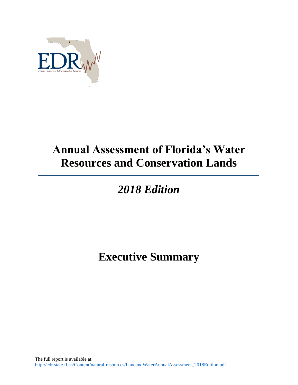

## **Annual Assessment of Florida's Water Resources and Conservation Lands**

## *2018 Edition*

**Executive Summary**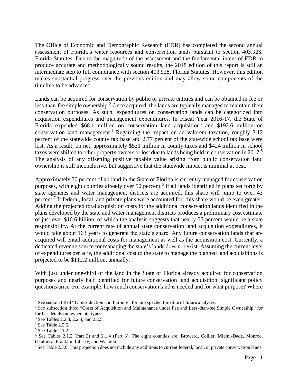The Office of Economic and Demographic Research (EDR) has completed the second annual assessment of Florida's water resources and conservation lands pursuant to section 403.928, Florida Statutes. Due to the magnitude of the assessment and the fundamental intent of EDR to produce accurate and methodologically sound results, the 2018 edition of this report is still an intermediate step to full compliance with section 403.928, Florida Statutes. However, this edition makes substantial progress over the previous edition and may allow some components of the timeline to be advanced.<sup>1</sup>

Lands can be acquired for conservation by public or private entities and can be obtained in fee or less-than-fee simple ownership.<sup>2</sup> Once acquired, the lands are typically managed to maintain their conservation purposes. As such, expenditures on conservation lands can be categorized into acquisition expenditures and management expenditures. In Fiscal Year 2016-17, the State of Florida expended \$68.1 million on conservation land acquisition<sup>3</sup> and \$192.6 million on conservation land management.<sup>4</sup> Regarding the impact on ad valorem taxation, roughly  $3.12$ percent of the statewide county tax base and 2.77 percent of the statewide school tax base were lost. As a result, on net, approximately \$531 million in county taxes and \$424 million in school taxes were shifted to other property owners or lost due to lands being held in conservation in 2017.<sup>5</sup> The analysis of any offsetting positive taxable value arising from public conservation land ownership is still inconclusive, but suggestive that the statewide impact is minimal at best.

Approximately 30 percent of all land in the State of Florida is currently managed for conservation purposes, with eight counties already over 50 percent.<sup>6</sup> If all lands identified in plans set forth by state agencies and water management districts are acquired, this share will jump to over 43 percent.<sup>7</sup> If federal, local, and private plans were accounted for, this share would be even greater. Adding the projected total acquisition costs for the additional conservation lands identified in the plans developed by the state and water management districts produces a preliminary cost estimate of just over \$10.6 billion, of which the analysis suggests that nearly 75 percent would be a state responsibility. At the current rate of annual state conservation land acquisition expenditures, it would take about 163 years to generate the state's share. Any future conservation lands that are acquired will entail additional costs for management as well as the acquisition cost. Currently, a dedicated revenue source for managing the state's lands does not exist. Assuming the current level of expenditures per acre, the additional cost to the state to manage the planned land acquisitions is projected to be \$112.2 million, annually.

With just under one-third of the land in the State of Florida already acquired for conservation purposes and nearly half identified for future conservation land acquisition, significant policy questions arise. For example, how much conservation land is needed and for what purpose? Where

 $\overline{a}$ 

<sup>&</sup>lt;sup>1</sup> See section titled "1. Introduction and Purpose" for an expected timeline of future analyses.

<sup>&</sup>lt;sup>2</sup> See subsection titled "Costs of Acquisition and Maintenance under Fee and Less-than-fee Simple Ownership" for further details on ownership types.

<sup>&</sup>lt;sup>3</sup> See Tables 2.2.3, 2.2.4, and 2.2.5.

<sup>4</sup> See Table 2.2.6.

<sup>5</sup> See Table 2.1.2.

<sup>6</sup> See Tables 2.1.2 (Part 3) and 2.1.4 (Part 3). The eight counties are: Broward, Collier, Miami-Dade, Monroe, Okaloosa, Franklin, Liberty, and Wakulla.

<sup>7</sup> See Table 2.3.6. This projection does not include any additions to current federal, local, or private conservation lands.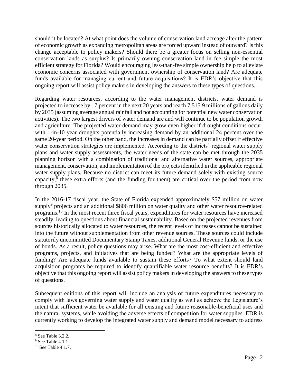should it be located? At what point does the volume of conservation land acreage alter the pattern of economic growth as expanding metropolitan areas are forced upward instead of outward? Is this change acceptable to policy makers? Should there be a greater focus on selling non-essential conservation lands as surplus? Is primarily owning conservation land in fee simple the most efficient strategy for Florida? Would encouraging less-than-fee simple ownership help to alleviate economic concerns associated with government ownership of conservation land? Are adequate funds available for managing current and future acquisitions? It is EDR's objective that this ongoing report will assist policy makers in developing the answers to these types of questions.

Regarding water resources, according to the water management districts, water demand is projected to increase by 17 percent in the next 20 years and reach 7,515.9 millions of gallons daily by 2035 (assuming average annual rainfall and not accounting for potential new water conservation activities). The two largest drivers of water demand are and will continue to be population growth and agriculture. The projected water demand may grow even higher if drought conditions occur, with 1-in-10 year droughts potentially increasing demand by an additional 24 percent over the same 20-year period. On the other hand, the increases in demand can be partially offset if effective water conservation strategies are implemented. According to the districts' regional water supply plans and water supply assessments, the water needs of the state can be met through the 2035 planning horizon with a combination of traditional and alternative water sources, appropriate management, conservation, and implementation of the projects identified in the applicable regional water supply plans. Because no district can meet its future demand solely with existing source capacity, $8$  these extra efforts (and the funding for them) are critical over the period from now through 2035.

In the 2016-17 fiscal year, the State of Florida expended approximately \$57 million on water supply<sup>9</sup> projects and an additional \$806 million on water quality and other water resource-related programs.<sup>10</sup> In the most recent three fiscal years, expenditures for water resources have increased steadily, leading to questions about financial sustainability. Based on the projected revenues from sources historically allocated to water resources, the recent levels of increases cannot be sustained into the future without supplementation from other revenue sources. These sources could include statutorily uncommitted Documentary Stamp Taxes, additional General Revenue funds, or the use of bonds. As a result, policy questions may arise. What are the most cost-efficient and effective programs, projects, and initiatives that are being funded? What are the appropriate levels of funding? Are adequate funds available to sustain these efforts? To what extent should land acquisition programs be required to identify quantifiable water resource benefits? It is EDR's objective that this ongoing report will assist policy makers in developing the answers to these types of questions.

Subsequent editions of this report will include an analysis of future expenditures necessary to comply with laws governing water supply and water quality as well as achieve the Legislature's intent that sufficient water be available for all existing and future reasonable-beneficial uses and the natural systems, while avoiding the adverse effects of competition for water supplies. EDR is currently working to develop the integrated water supply and demand model necessary to address

 $\overline{a}$ 

<sup>8</sup> See Table 3.2.2.

<sup>&</sup>lt;sup>9</sup> See Table 4.1.1.

 $10$  See Table 4.1.7.